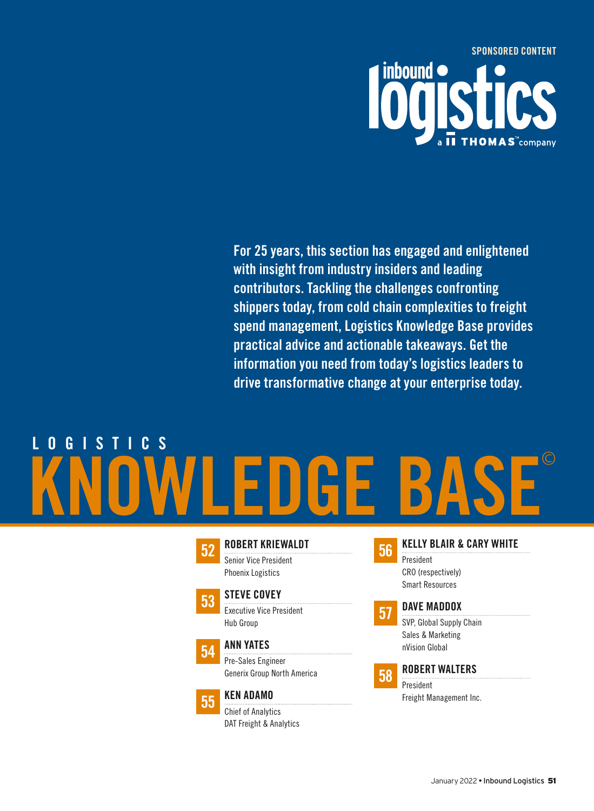

For 25 years, this section has engaged and enlightened with insight from industry insiders and leading contributors. Tackling the challenges confronting shippers today, from cold chain complexities to freight spend management, Logistics Knowledge Base provides practical advice and actionable takeaways. Get the information you need from today's logistics leaders to drive transformative change at your enterprise today.

# KNOWLEDGE BASE© L O G I S T I C S



52 [ROBERT KRIEWALDT](#page-1-0) Senior Vice President

Phoenix Logistics



53 STEVE COVEY





Pre-Sales Engineer [Generix Group North America](#page-3-0)



55 KEN ADAMO

Chief of Analytics [DAT Freight & Analytics](#page-4-0)

- 56 [KELLY BLAIR & CARY WHITE](#page-5-0) President CRO (respectively) Smart Resources
- **57 DAVE MADDOX**

[SVP, Global Supply Chain](#page-6-0)  Sales & Marketing nVision Global



### **58 [ROBERT WALTERS](#page-7-0)**

President Freight Management Inc.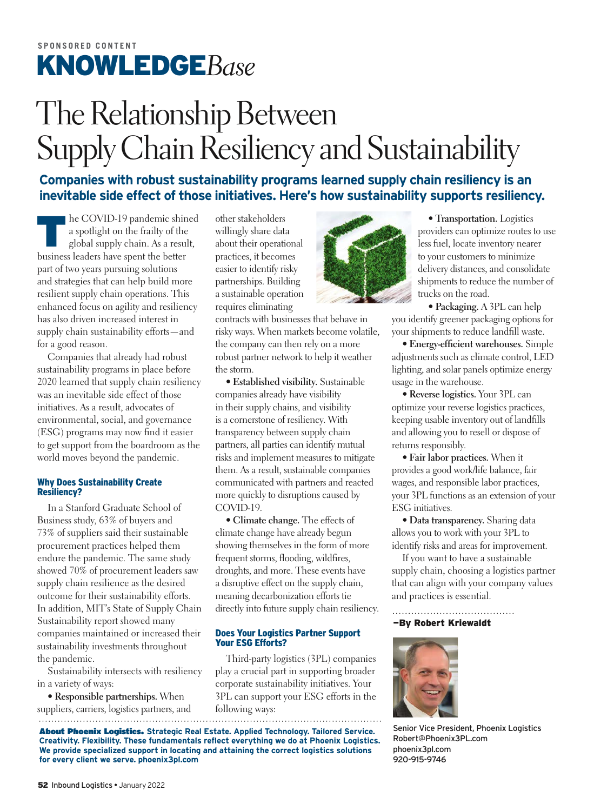## <span id="page-1-0"></span>The Relationship Between Supply Chain Resiliency and Sustainability

**Companies with robust sustainability programs learned supply chain resiliency is an inevitable side effect of those initiatives. Here's how sustainability supports resiliency.**

The COVID-19 pandemic shined<br>a spotlight on the frailty of the<br>global supply chain. As a result,<br>business leaders have sport the better a spotlight on the frailty of the global supply chain. As a result, business leaders have spent the better part of two years pursuing solutions and strategies that can help build more resilient supply chain operations. This enhanced focus on agility and resiliency has also driven increased interest in supply chain sustainability efforts—and for a good reason.

Companies that already had robust sustainability programs in place before 2020 learned that supply chain resiliency was an inevitable side effect of those initiatives. As a result, advocates of environmental, social, and governance (ESG) programs may now find it easier to get support from the boardroom as the world moves beyond the pandemic.

#### Why Does Sustainability Create Resiliency?

In a Stanford Graduate School of Business study, 63% of buyers and 73% of suppliers said their sustainable procurement practices helped them endure the pandemic. The same study showed 70% of procurement leaders saw supply chain resilience as the desired outcome for their sustainability efforts. In addition, MIT's State of Supply Chain Sustainability report showed many companies maintained or increased their sustainability investments throughout the pandemic.

Sustainability intersects with resiliency in a variety of ways:

**• Responsible partnerships.** When suppliers, carriers, logistics partners, and follow

other stakeholders willingly share data about their operational practices, it becomes easier to identify risky partnerships. Building a sustainable operation requires eliminating

contracts with businesses that behave in risky ways. When markets become volatile, the company can then rely on a more robust partner network to help it weather the storm.

**• Established visibility.** Sustainable companies already have visibility in their supply chains, and visibility is a cornerstone of resiliency. With transparency between supply chain partners, all parties can identify mutual risks and implement measures to mitigate them. As a result, sustainable companies communicated with partners and reacted more quickly to disruptions caused by COVID-19.

**• Climate change.** The effects of climate change have already begun showing themselves in the form of more frequent storms, flooding, wildfires, droughts, and more. These events have a disruptive effect on the supply chain, meaning decarbonization efforts tie directly into future supply chain resiliency.

#### Does Your Logistics Partner Support Your ESG Efforts?

Third-party logistics (3PL) companies play a crucial part in supporting broader corporate sustainability initiatives. Your 3PL can support your ESG efforts in the following ways:

About Phoenix Logistics. **Strategic Real Estate. Applied Technology. Tailored Service. Creativity. Flexibility. These fundamentals reflect everything we do at Phoenix Logistics. We provide specialized support in locating and attaining the correct logistics solutions for every client we serve. [phoenix3pl.com](www.phoenix3pl.com)**



**• Transportation.** Logistics providers can optimize routes to use less fuel, locate inventory nearer to your customers to minimize delivery distances, and consolidate shipments to reduce the number of trucks on the road.

**• Packaging.** A 3PL can help you identify greener packaging options for your shipments to reduce landfill waste.

• Energy-efficient warehouses. Simple adjustments such as climate control, LED lighting, and solar panels optimize energy usage in the warehouse.

**• Reverse logistics.** Your 3PL can optimize your reverse logistics practices, keeping usable inventory out of landfills and allowing you to resell or dispose of returns responsibly.

**• Fair labor practices.** When it provides a good work/life balance, fair wages, and responsible labor practices, your 3PL functions as an extension of your ESG initiatives.

**• Data transparency.** Sharing data allows you to work with your 3PL to identify risks and areas for improvement.

If you want to have a sustainable supply chain, choosing a logistics partner that can align with your company values and practices is essential.

#### —By Robert Kriewaldt



Senior Vice President, Phoenix Logistics [Robert@Phoenix3PL.com](mailto:Robert@Phoenix3PL.com) [phoenix3pl.com](www.phoenix3pl.com) 920-915-9746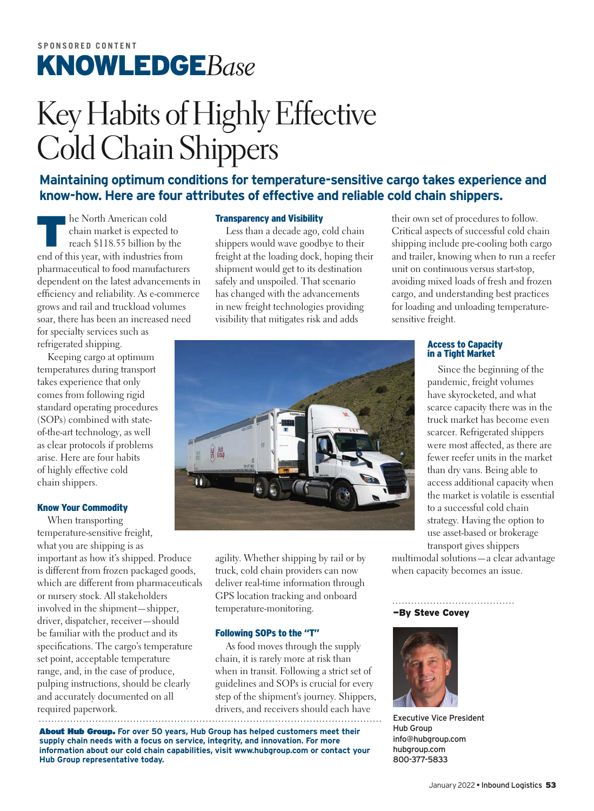## <span id="page-2-0"></span>Key Habits of Highly Effective Cold Chain Shippers

#### **Maintaining optimum conditions for temperature-sensitive cargo takes experience and know-how. Here are four attributes of effective and reliable cold chain shippers.**

The North American cold<br>
the market is expected<br>
reach \$118.55 billion by<br>
end of this wear, with industries f chain market is expected to reach \$118.55 billion by the end of this year, with industries from pharmaceutical to food manufacturers dependent on the latest advancements in efficiency and reliability. As e-commerce grows and rail and truckload volumes soar, there has been an increased need for specialty services such as

refrigerated shipping.

Keeping cargo at optimum temperatures during transport takes experience that only comes from following rigid standard operating procedures (SOPs) combined with stateof-the-art technology, as well as clear protocols if problems arise. Here are four habits of highly effective cold chain shippers.

#### Know Your Commodity

When transporting temperature-sensitive freight, what you are shipping is as important as how it's shipped. Produce is different from frozen packaged goods, which are different from pharmaceuticals or nursery stock. All stakeholders involved in the shipment—shipper, driver, dispatcher, receiver—should be familiar with the product and its specifications. The cargo's temperature set point, acceptable temperature range, and, in the case of produce, pulping instructions, should be clearly and accurately documented on all required paperwork.

#### Transparency and Visibility

Less than a decade ago, cold chain shippers would wave goodbye to their freight at the loading dock, hoping their shipment would get to its destination safely and unspoiled. That scenario has changed with the advancements in new freight technologies providing visibility that mitigates risk and adds

their own set of procedures to follow. Critical aspects of successful cold chain shipping include pre-cooling both cargo and trailer, knowing when to run a reefer unit on continuous versus start-stop, avoiding mixed loads of fresh and frozen cargo, and understanding best practices for loading and unloading temperaturesensitive freight.



agility. Whether shipping by rail or by truck, cold chain providers can now deliver real-time information through GPS location tracking and onboard temperature-monitoring.

#### Following SOPs to the "T"

As food moves through the supply chain, it is rarely more at risk than when in transit. Following a strict set of guidelines and SOPs is crucial for every step of the shipment's journey. Shippers, drivers, and receivers should each have

About Hub Group. **For over 50 years, Hub Group has helped customers meet their supply chain needs with a focus on service, integrity, and innovation. For more information about our cold chain capabilities, visit<www.hubgroup.com>or contact your Hub Group representative today.**

### Access to Capacity in a Tight Market

Since the beginning of the pandemic, freight volumes have skyrocketed, and what scarce capacity there was in the truck market has become even scarcer. Refrigerated shippers were most affected, as there are fewer reefer units in the market than dry vans. Being able to access additional capacity when the market is volatile is essential to a successful cold chain strategy. Having the option to use asset-based or brokerage transport gives shippers

multimodal solutions—a clear advantage when capacity becomes an issue.

#### —By Steve Covey



Executive Vice President Hub Group [info@hubgroup.com](mailto:info@hubgroup.com) [hubgroup.com](www.hubgroup.com) 800-377-5833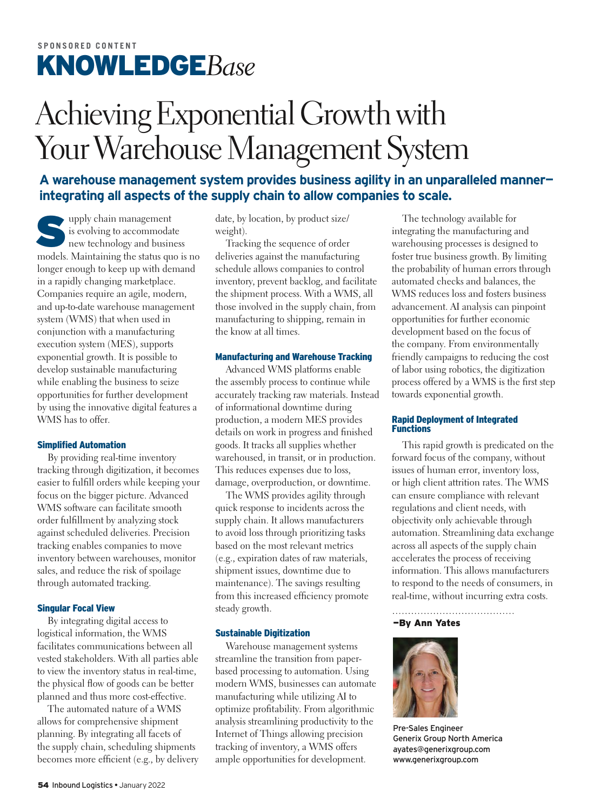## <span id="page-3-0"></span>Achieving Exponential Growth with Your Warehouse Management System

#### **A warehouse management system provides business agility in an unparalleled manner integrating all aspects of the supply chain to allow companies to scale.**

supply chain management<br>is evolving to accommoda<br>new technology and busin<br>models Maintaining the status cu is evolving to accommodate new technology and business models. Maintaining the status quo is no longer enough to keep up with demand in a rapidly changing marketplace. Companies require an agile, modern, and up-to-date warehouse management system (WMS) that when used in conjunction with a manufacturing execution system (MES), supports exponential growth. It is possible to develop sustainable manufacturing while enabling the business to seize opportunities for further development by using the innovative digital features a WMS has to offer.

#### Simplified Automation

By providing real-time inventory tracking through digitization, it becomes easier to fulfill orders while keeping your focus on the bigger picture. Advanced WMS software can facilitate smooth order fulllment by analyzing stock against scheduled deliveries. Precision tracking enables companies to move inventory between warehouses, monitor sales, and reduce the risk of spoilage through automated tracking.

#### Singular Focal View

By integrating digital access to logistical information, the WMS facilitates communications between all vested stakeholders. With all parties able to view the inventory status in real-time, the physical flow of goods can be better planned and thus more cost-effective.

The automated nature of a WMS allows for comprehensive shipment planning. By integrating all facets of the supply chain, scheduling shipments becomes more efficient (e.g., by delivery date, by location, by product size/ weight).

Tracking the sequence of order deliveries against the manufacturing schedule allows companies to control inventory, prevent backlog, and facilitate the shipment process. With a WMS, all those involved in the supply chain, from manufacturing to shipping, remain in the know at all times.

#### Manufacturing and Warehouse Tracking

Advanced WMS platforms enable the assembly process to continue while accurately tracking raw materials. Instead of informational downtime during production, a modern MES provides details on work in progress and finished goods. It tracks all supplies whether warehoused, in transit, or in production. This reduces expenses due to loss, damage, overproduction, or downtime.

The WMS provides agility through quick response to incidents across the supply chain. It allows manufacturers to avoid loss through prioritizing tasks based on the most relevant metrics (e.g., expiration dates of raw materials, shipment issues, downtime due to maintenance). The savings resulting from this increased efficiency promote steady growth.

#### Sustainable Digitization

Warehouse management systems streamline the transition from paperbased processing to automation. Using modern WMS, businesses can automate manufacturing while utilizing AI to optimize profitability. From algorithmic analysis streamlining productivity to the Internet of Things allowing precision tracking of inventory, a WMS offers ample opportunities for development.

The technology available for integrating the manufacturing and warehousing processes is designed to foster true business growth. By limiting the probability of human errors through automated checks and balances, the WMS reduces loss and fosters business advancement. AI analysis can pinpoint opportunities for further economic development based on the focus of the company. From environmentally friendly campaigns to reducing the cost of labor using robotics, the digitization process offered by a WMS is the first step towards exponential growth.

#### Rapid Deployment of Integrated Functions

This rapid growth is predicated on the forward focus of the company, without issues of human error, inventory loss, or high client attrition rates. The WMS can ensure compliance with relevant regulations and client needs, with objectivity only achievable through automation. Streamlining data exchange across all aspects of the supply chain accelerates the process of receiving information. This allows manufacturers to respond to the needs of consumers, in real-time, without incurring extra costs.

#### —By Ann Yates



Pre-Sales Engineer Generix Group North America [ayates@generixgroup.com](mailto:ayates@generixgroup.com) <www.generixgroup.com>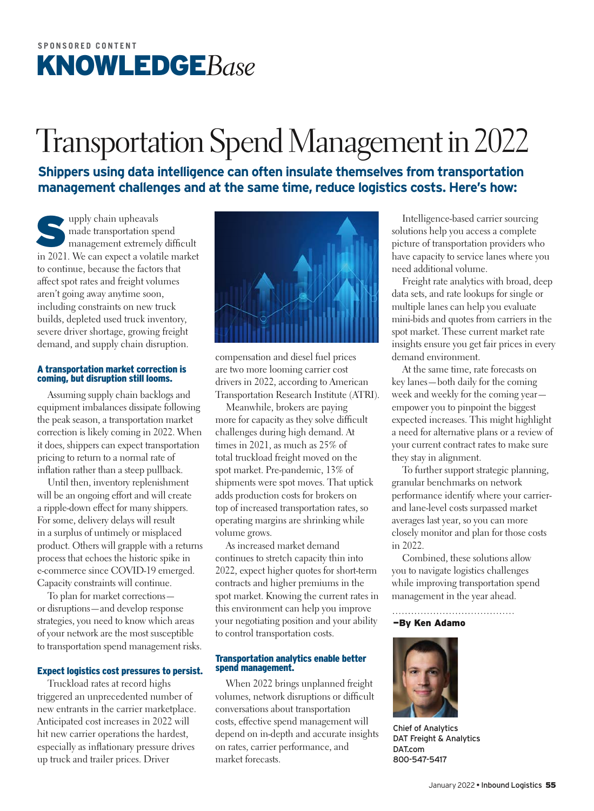## <span id="page-4-0"></span>[Transportation Spend Management in 2022](http://dat.com/knowledgebase)

**Shippers using data intelligence can often insulate themselves from transportation management challenges and at the same time, reduce logistics costs. Here's how:**

supply chain upheavals<br>management extremel<br>in 2021. We can expect a volation made transportation spend management extremely difficult in 2021. We can expect a volatile market to continue, because the factors that affect spot rates and freight volumes aren't going away anytime soon, including constraints on new truck builds, depleted used truck inventory, severe driver shortage, growing freight demand, and supply chain disruption.

#### A transportation market correction is coming, but disruption still looms.

Assuming supply chain backlogs and equipment imbalances dissipate following the peak season, a transportation market correction is likely coming in 2022. When it does, shippers can expect transportation pricing to return to a normal rate of inflation rather than a steep pullback.

Until then, inventory replenishment will be an ongoing effort and will create a ripple-down effect for many shippers. For some, delivery delays will result in a surplus of untimely or misplaced product. Others will grapple with a returns process that echoes the historic spike in e-commerce since COVID-19 emerged. Capacity constraints will continue.

To plan for market corrections or disruptions—and develop response strategies, you need to know which areas of your network are the most susceptible to transportation spend management risks.

#### Expect logistics cost pressures to persist.

Truckload rates at record highs triggered an unprecedented number of new entrants in the carrier marketplace. Anticipated cost increases in 2022 will hit new carrier operations the hardest, especially as inflationary pressure drives up truck and trailer prices. Driver



compensation and diesel fuel prices are two more looming carrier cost drivers in 2022, according to American Transportation Research Institute (ATRI).

Meanwhile, brokers are paying more for capacity as they solve difficult challenges during high demand. At times in 2021, as much as 25% of total truckload freight moved on the spot market. Pre-pandemic, 13% of shipments were spot moves. That uptick adds production costs for brokers on top of increased transportation rates, so operating margins are shrinking while volume grows.

As increased market demand continues to stretch capacity thin into 2022, expect higher quotes for short-term contracts and higher premiums in the spot market. Knowing the current rates in this environment can help you improve your negotiating position and your ability to control transportation costs.

#### Transportation analytics enable better spend management.

When 2022 brings unplanned freight volumes, network disruptions or difficult conversations about transportation costs, effective spend management will depend on in-depth and accurate insights on rates, carrier performance, and market forecasts.

Intelligence-based carrier sourcing solutions help you access a complete picture of transportation providers who have capacity to service lanes where you need additional volume.

Freight rate analytics with broad, deep data sets, and rate lookups for single or multiple lanes can help you evaluate mini-bids and quotes from carriers in the spot market. These current market rate insights ensure you get fair prices in every demand environment.

At the same time, rate forecasts on key lanes—both daily for the coming week and weekly for the coming year empower you to pinpoint the biggest expected increases. This might highlight a need for alternative plans or a review of your current contract rates to make sure they stay in alignment.

To further support strategic planning, granular benchmarks on network performance identify where your carrierand lane-level costs surpassed market averages last year, so you can more closely monitor and plan for those costs in 2022.

Combined, these solutions allow you to navigate logistics challenges while improving transportation spend management in the year ahead.

#### —By Ken Adamo



Chief of Analytics DAT Freight & Analytics [DAT.com](www.DAT.com) 800-547-5417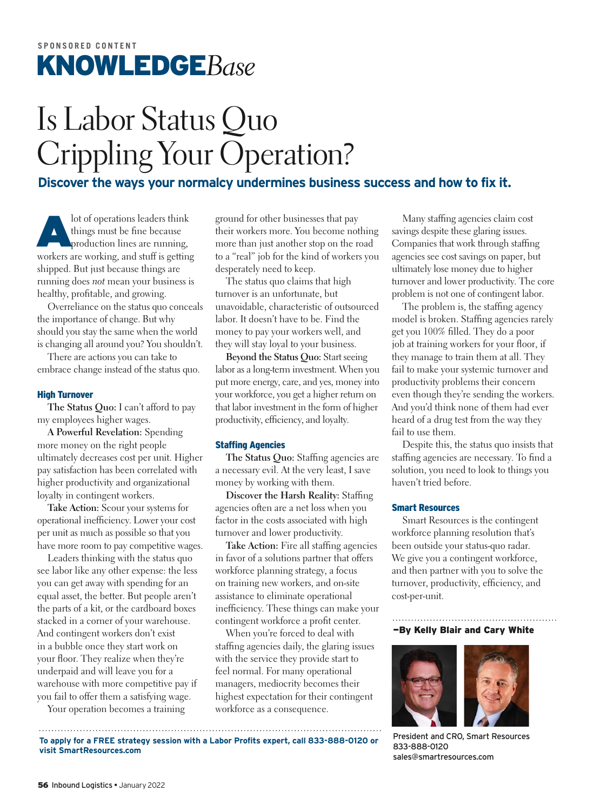## <span id="page-5-0"></span>Is Labor Status Quo Crippling Your Operation?

**Discover the ways your normalcy undermines business success and how to fix it.**

lot of operations leaders think<br>things must be fine because<br>production lines are running, things must be fine because production lines are running, workers are working, and stuff is getting shipped. But just because things are running does *not* mean your business is healthy, profitable, and growing.

Overreliance on the status quo conceals the importance of change. But why should you stay the same when the world is changing all around you? You shouldn't.

There are actions you can take to embrace change instead of the status quo.

#### High Turnover

**The Status Quo:** I can't afford to pay my employees higher wages.

**A Powerful Revelation:** Spending more money on the right people ultimately decreases cost per unit. Higher pay satisfaction has been correlated with higher productivity and organizational loyalty in contingent workers.

**Take Action:** Scour your systems for operational inefficiency. Lower your cost per unit as much as possible so that you have more room to pay competitive wages.

Leaders thinking with the status quo see labor like any other expense: the less you can get away with spending for an equal asset, the better. But people aren't the parts of a kit, or the cardboard boxes stacked in a corner of your warehouse. And contingent workers don't exist in a bubble once they start work on your floor. They realize when they're underpaid and will leave you for a warehouse with more competitive pay if you fail to offer them a satisfying wage.

Your operation becomes a training

ground for other businesses that pay their workers more. You become nothing more than just another stop on the road to a "real" job for the kind of workers you desperately need to keep.

The status quo claims that high turnover is an unfortunate, but unavoidable, characteristic of outsourced labor. It doesn't have to be. Find the money to pay your workers well, and they will stay loyal to your business.

**Beyond the Status Quo:** Start seeing labor as a long-term investment. When you put more energy, care, and yes, money into your workforce, you get a higher return on that labor investment in the form of higher productivity, efficiency, and loyalty.

#### Staffing Agencies

The Status Quo: Staffing agencies are a necessary evil. At the very least, I save money by working with them.

**Discover the Harsh Reality: Staffing** agencies often are a net loss when you factor in the costs associated with high turnover and lower productivity.

Take Action: Fire all staffing agencies in favor of a solutions partner that offers workforce planning strategy, a focus on training new workers, and on-site assistance to eliminate operational inefficiency. These things can make your contingent workforce a profit center.

When you're forced to deal with stafng agencies daily, the glaring issues with the service they provide start to feel normal. For many operational managers, mediocrity becomes their highest expectation for their contingent workforce as a consequence.

Many stafng agencies claim cost savings despite these glaring issues. Companies that work through staffing agencies see cost savings on paper, but ultimately lose money due to higher turnover and lower productivity. The core problem is not one of contingent labor.

The problem is, the staffing agency model is broken. Stafng agencies rarely get you 100% filled. They do a poor job at training workers for your floor, if they manage to train them at all. They fail to make your systemic turnover and productivity problems their concern even though they're sending the workers. And you'd think none of them had ever heard of a drug test from the way they fail to use them.

Despite this, the status quo insists that staffing agencies are necessary. To find a solution, you need to look to things you haven't tried before.

#### Smart Resources

Smart Resources is the contingent workforce planning resolution that's been outside your status-quo radar. We give you a contingent workforce, and then partner with you to solve the turnover, productivity, efficiency, and cost-per-unit.

—By Kelly Blair and Cary White



President and CRO, Smart Resources 833-888-0120 [sales@smartresources.com](mailto:sales@smartresources.com)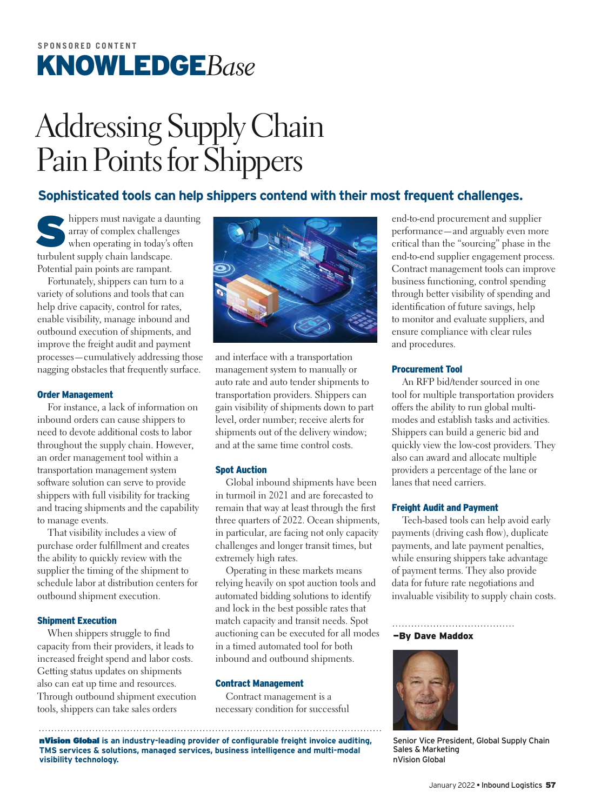## <span id="page-6-0"></span>Addressing Supply Chain Pain Points for Shippers

#### **Sophisticated tools can help shippers contend with their most frequent challenges.**

hippers must navigate a daunting array of complex challenges when operating in today's often turbulent supply chain landscape. Potential pain points are rampant.

Fortunately, shippers can turn to a variety of solutions and tools that can help drive capacity, control for rates, enable visibility, manage inbound and outbound execution of shipments, and improve the freight audit and payment processes—cumulatively addressing those nagging obstacles that frequently surface.

#### Order Management

For instance, a lack of information on inbound orders can cause shippers to need to devote additional costs to labor throughout the supply chain. However, an order management tool within a transportation management system software solution can serve to provide shippers with full visibility for tracking and tracing shipments and the capability to manage events.

That visibility includes a view of purchase order fulfillment and creates the ability to quickly review with the supplier the timing of the shipment to schedule labor at distribution centers for outbound shipment execution.

#### Shipment Execution

When shippers struggle to find capacity from their providers, it leads to increased freight spend and labor costs. Getting status updates on shipments also can eat up time and resources. Through outbound shipment execution tools, shippers can take sales orders



and interface with a transportation management system to manually or auto rate and auto tender shipments to transportation providers. Shippers can gain visibility of shipments down to part level, order number; receive alerts for shipments out of the delivery window; and at the same time control costs.

#### Spot Auction

Global inbound shipments have been in turmoil in 2021 and are forecasted to remain that way at least through the first three quarters of 2022. Ocean shipments, in particular, are facing not only capacity challenges and longer transit times, but extremely high rates.

Operating in these markets means relying heavily on spot auction tools and automated bidding solutions to identify and lock in the best possible rates that match capacity and transit needs. Spot auctioning can be executed for all modes in a timed automated tool for both inbound and outbound shipments.

#### Contract Management

Contract management is a necessary condition for successful

nVision Global **is an industry-leading provider of configurable freight invoice auditing, TMS services & solutions, managed services, business intelligence and multi-modal visibility technology.**

end-to-end procurement and supplier performance—and arguably even more critical than the "sourcing" phase in the end-to-end supplier engagement process. Contract management tools can improve business functioning, control spending through better visibility of spending and identification of future savings, help to monitor and evaluate suppliers, and ensure compliance with clear rules and procedures.

#### Procurement Tool

An RFP bid/tender sourced in one tool for multiple transportation providers offers the ability to run global multimodes and establish tasks and activities. Shippers can build a generic bid and quickly view the low-cost providers. They also can award and allocate multiple providers a percentage of the lane or lanes that need carriers.

#### Freight Audit and Payment

Tech-based tools can help avoid early payments (driving cash flow), duplicate payments, and late payment penalties, while ensuring shippers take advantage of payment terms. They also provide data for future rate negotiations and invaluable visibility to supply chain costs.

#### —By Dave Maddox



Senior Vice President, Global Supply Chain Sales & Marketing nVision Global